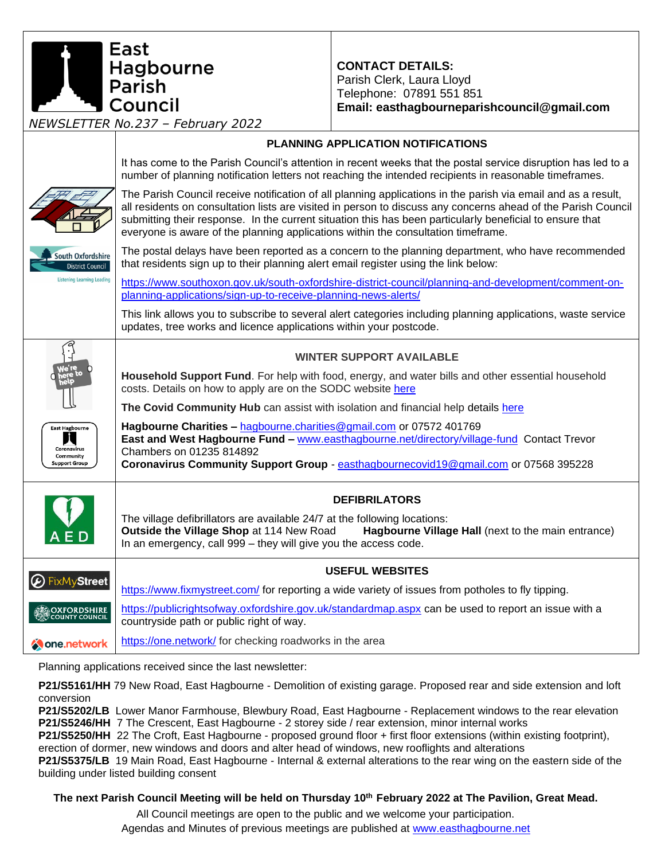**CONTACT DETAILS:** Parish Clerk, Laura Lloyd Telephone: 07891 551 851 **Email: easthagbourneparishcouncil@gmail.com**

*NEWSLETTER No.237 – February 2022*

l Council

Hagbourne<br>Parish

East

## **PLANNING APPLICATION NOTIFICATIONS** It has come to the Parish Council's attention in recent weeks that the postal service disruption has led to a number of planning notification letters not reaching the intended recipients in reasonable timeframes. The Parish Council receive notification of all planning applications in the parish via email and as a result, all residents on consultation lists are visited in person to discuss any concerns ahead of the Parish Council submitting their response. In the current situation this has been particularly beneficial to ensure that everyone is aware of the planning applications within the consultation timeframe. The postal delays have been reported as a concern to the planning department, who have recommended South Oxfordshire that residents sign up to their planning alert email register using the link below: District Council Listening Learning Leading [https://www.southoxon.gov.uk/south-oxfordshire-district-council/planning-and-development/comment-on](https://www.southoxon.gov.uk/south-oxfordshire-district-council/planning-and-development/comment-on-planning-applications/sign-up-to-receive-planning-news-alerts/)[planning-applications/sign-up-to-receive-planning-news-alerts/](https://www.southoxon.gov.uk/south-oxfordshire-district-council/planning-and-development/comment-on-planning-applications/sign-up-to-receive-planning-news-alerts/) This link allows you to subscribe to several alert categories including planning applications, waste service updates, tree works and licence applications within your postcode. **WINTER SUPPORT AVAILABLE Household Support Fund**. For help with food, energy, and water bills and other essential household costs. Details on how to apply are on the SODC website [here](https://www.southoxon.gov.uk/south-oxfordshire-district-council/coronavirus-community-support/household-support-fund/) **The Covid Community Hub** can assist with isolation and financial help details [here](https://www.southoxon.gov.uk/south-oxfordshire-district-council/coronavirus-community-support/help-for-individuals/) **Hagbourne Charities –** [hagbourne.charities@gmail.com](mailto:hagbourne.charities@gmail.com) or 07572 401769 **East Hagbourr East and West Hagbourne Fund –** [www.easthagbourne.net/directory/village-fund](http://www.easthagbourne.net/directory/village-fund) Contact Trevor Coronavirus Chambers on 01235 814892 Community **Coronavirus Community Support Group** - [easthagbournecovid19@gmail.com](mailto:easthagbournecovid19@gmail.com) or 07568 395228 **Support Group DEFIBRILATORS** The village defibrillators are available 24/7 at the following locations: **Outside the Village Shop** at 114 New Road **Hagbourne Village Hall** (next to the main entrance) In an emergency, call 999 – they will give you the access code. **USEFUL WEBSITES A** FixMyStreet <https://www.fixmystreet.com/> for reporting a wide variety of issues from potholes to fly tipping. <https://publicrightsofway.oxfordshire.gov.uk/standardmap.aspx> can be used to report an issue with a **OXFORDSHIRE**<br>OCOUNTY COUNCIL countryside path or public right of way. <https://one.network/> for checking roadworks in the area **Cone**.network

Planning applications received since the last newsletter:

**P21/S5161/HH** 79 New Road, East Hagbourne - Demolition of existing garage. Proposed rear and side extension and loft conversion

**P21/S5202/LB** Lower Manor Farmhouse, Blewbury Road, East Hagbourne - Replacement windows to the rear elevation **P21/S5246/HH** 7 The Crescent, East Hagbourne - 2 storey side / rear extension, minor internal works

**P21/S5250/HH** 22 The Croft, East Hagbourne - proposed ground floor + first floor extensions (within existing footprint), erection of dormer, new windows and doors and alter head of windows, new rooflights and alterations

**P21/S5375/LB** 19 Main Road, East Hagbourne - Internal & external alterations to the rear wing on the eastern side of the building under listed building consent

**The next Parish Council Meeting will be held on Thursday 10 th February 2022 at The Pavilion, Great Mead.**

All Council meetings are open to the public and we welcome your participation.

Agendas and Minutes of previous meetings are published at [www.easthagbourne.net](http://www.easthagbourne.net/)